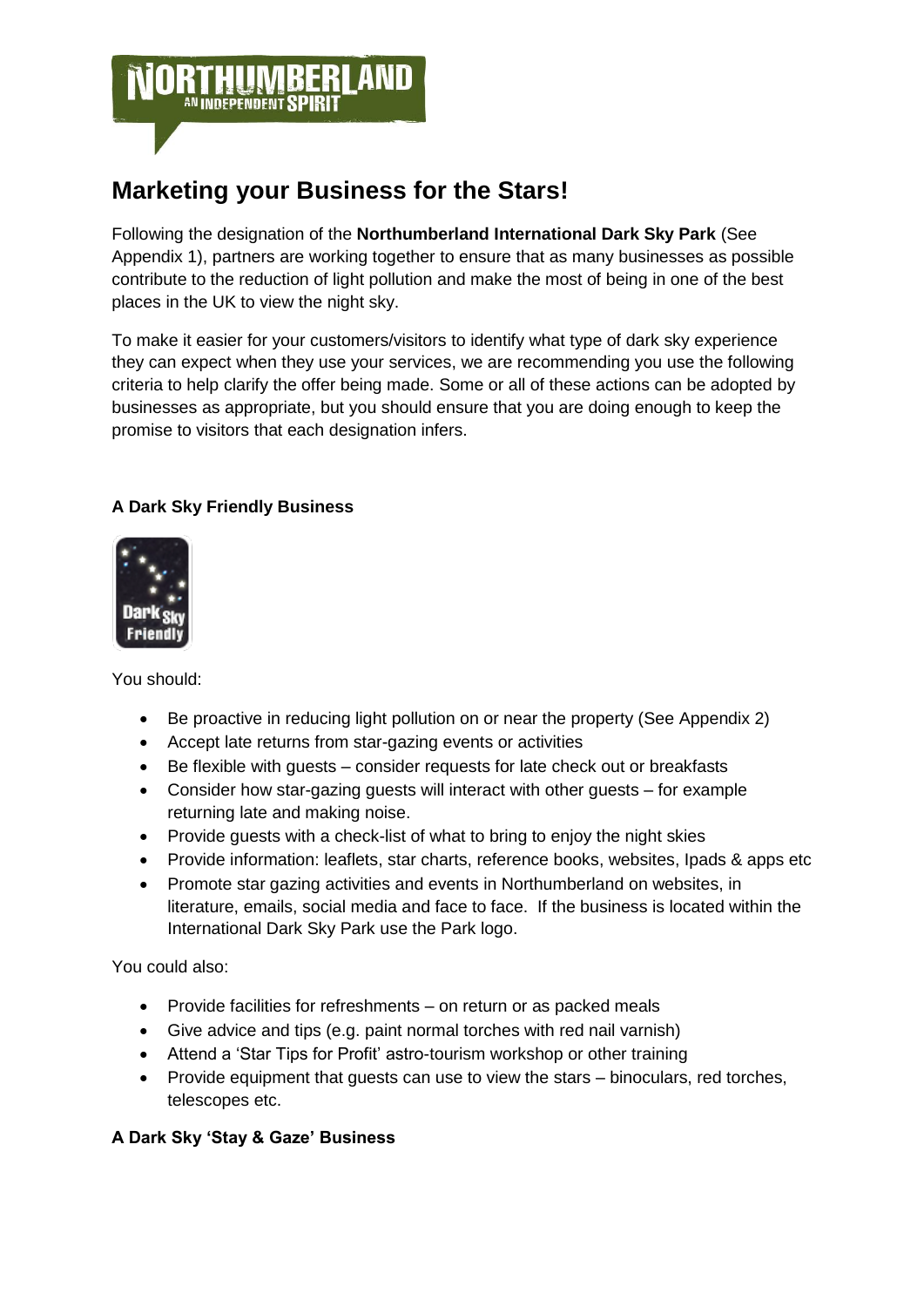

# **Marketing your Business for the Stars!**

Following the designation of the **Northumberland International Dark Sky Park** (See Appendix 1), partners are working together to ensure that as many businesses as possible contribute to the reduction of light pollution and make the most of being in one of the best places in the UK to view the night sky.

To make it easier for your customers/visitors to identify what type of dark sky experience they can expect when they use your services, we are recommending you use the following criteria to help clarify the offer being made. Some or all of these actions can be adopted by businesses as appropriate, but you should ensure that you are doing enough to keep the promise to visitors that each designation infers.

## **A Dark Sky Friendly Business**



You should:

- Be proactive in reducing light pollution on or near the property (See Appendix 2)
- Accept late returns from star-gazing events or activities
- Be flexible with guests consider requests for late check out or breakfasts
- Consider how star-gazing guests will interact with other guests for example returning late and making noise.
- Provide guests with a check-list of what to bring to enjoy the night skies
- Provide information: leaflets, star charts, reference books, websites, Ipads & apps etc
- Promote star gazing activities and events in Northumberland on websites, in literature, emails, social media and face to face. If the business is located within the International Dark Sky Park use the Park logo.

You could also:

- Provide facilities for refreshments on return or as packed meals
- Give advice and tips (e.g. paint normal torches with red nail varnish)
- Attend a 'Star Tips for Profit' astro-tourism workshop or other training
- Provide equipment that guests can use to view the stars binoculars, red torches, telescopes etc.

### **A Dark Sky 'Stay & Gaze' Business**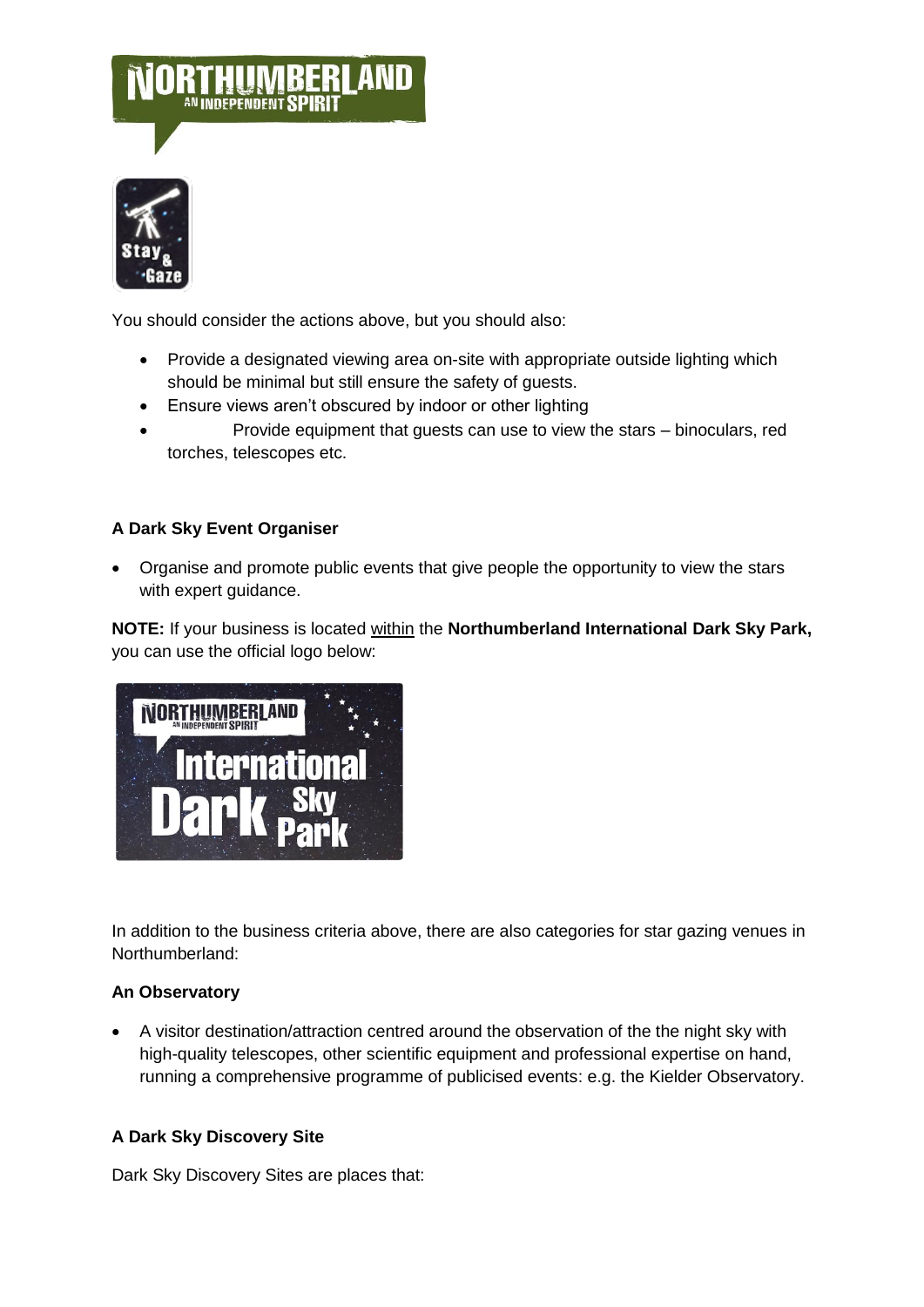



You should consider the actions above, but you should also:

- Provide a designated viewing area on-site with appropriate outside lighting which should be minimal but still ensure the safety of guests.
- Ensure views aren't obscured by indoor or other lighting
- Provide equipment that guests can use to view the stars binoculars, red torches, telescopes etc.

### **A Dark Sky Event Organiser**

 Organise and promote public events that give people the opportunity to view the stars with expert guidance.

**NOTE:** If your business is located within the **Northumberland International Dark Sky Park,**  you can use the official logo below:



In addition to the business criteria above, there are also categories for star gazing venues in Northumberland:

#### **An Observatory**

 A visitor destination/attraction centred around the observation of the the night sky with high-quality telescopes, other scientific equipment and professional expertise on hand, running a comprehensive programme of publicised events: e.g. the Kielder Observatory.

### **A Dark Sky Discovery Site**

Dark Sky Discovery Sites are places that: